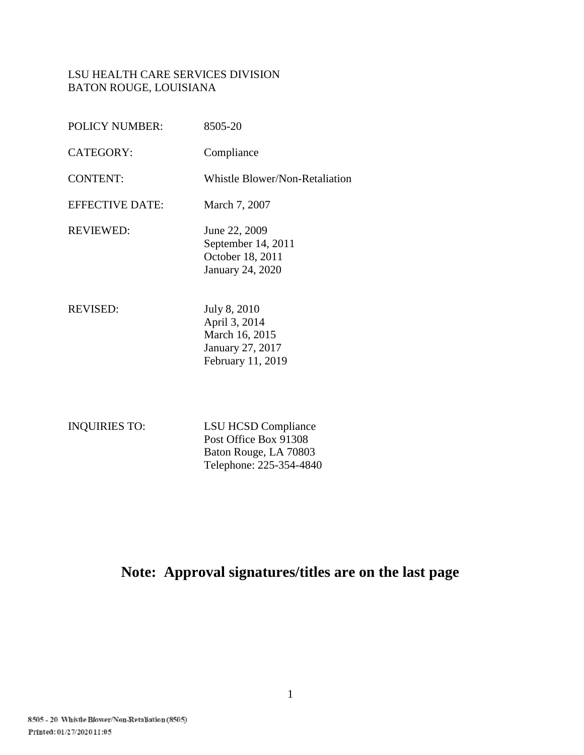# LSU HEALTH CARE SERVICES DIVISION BATON ROUGE, LOUISIANA

| <b>POLICY NUMBER:</b>  | 8505-20                                                                                  |
|------------------------|------------------------------------------------------------------------------------------|
| <b>CATEGORY:</b>       | Compliance                                                                               |
| <b>CONTENT:</b>        | Whistle Blower/Non-Retaliation                                                           |
| <b>EFFECTIVE DATE:</b> | March 7, 2007                                                                            |
| <b>REVIEWED:</b>       | June 22, 2009<br>September 14, 2011<br>October 18, 2011<br><b>January 24, 2020</b>       |
| <b>REVISED:</b>        | July 8, 2010<br>April 3, 2014<br>March 16, 2015<br>January 27, 2017<br>February 11, 2019 |

INQUIRIES TO: LSU HCSD Compliance Post Office Box 91308 Baton Rouge, LA 70803 Telephone: 225-354-4840

**Note: Approval signatures/titles are on the last page**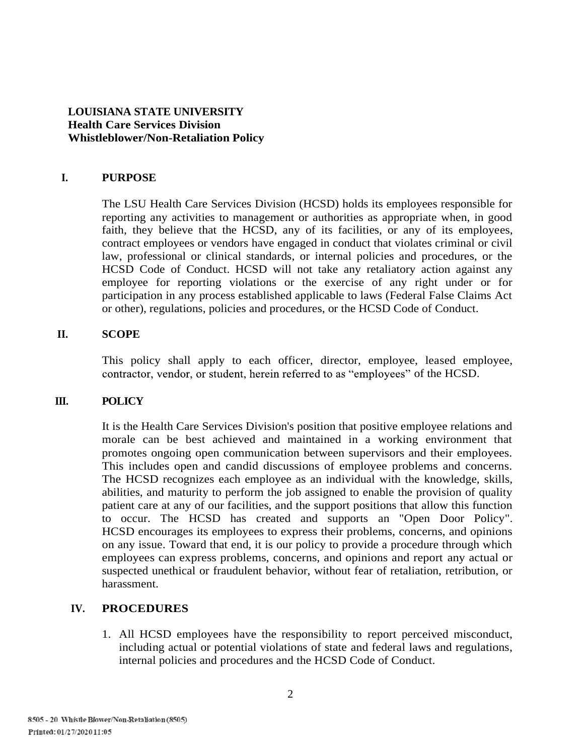# **LOUISIANA STATE UNIVERSITY Health Care Services Division Whistleblower/Non-Retaliation Policy**

#### **I. PURPOSE**

The LSU Health Care Services Division (HCSD) holds its employees responsible for reporting any activities to management or authorities as appropriate when, in good faith, they believe that the HCSD, any of its facilities, or any of its employees, contract employees or vendors have engaged in conduct that violates criminal or civil law, professional or clinical standards, or internal policies and procedures, or the HCSD Code of Conduct. HCSD will not take any retaliatory action against any employee for reporting violations or the exercise of any right under or for participation in any process established applicable to laws (Federal False Claims Act or other), regulations, policies and procedures, or the HCSD Code of Conduct.

#### **II. SCOPE**

This policy shall apply to each officer, director, employee, leased employee, contractor, vendor, or student, herein referred to as "employees" of the HCSD.

# **III. POLICY**

It is the Health Care Services Division's position that positive employee relations and morale can be best achieved and maintained in a working environment that promotes ongoing open communication between supervisors and their employees. This includes open and candid discussions of employee problems and concerns. The HCSD recognizes each employee as an individual with the knowledge, skills, abilities, and maturity to perform the job assigned to enable the provision of quality patient care at any of our facilities, and the support positions that allow this function to occur. The HCSD has created and supports an "Open Door Policy". HCSD encourages its employees to express their problems, concerns, and opinions on any issue. Toward that end, it is our policy to provide a procedure through which employees can express problems, concerns, and opinions and report any actual or suspected unethical or fraudulent behavior, without fear of retaliation, retribution, or harassment.

# **IV. PROCEDURES**

1. All HCSD employees have the responsibility to report perceived misconduct, including actual or potential violations of state and federal laws and regulations, internal policies and procedures and the HCSD Code of Conduct.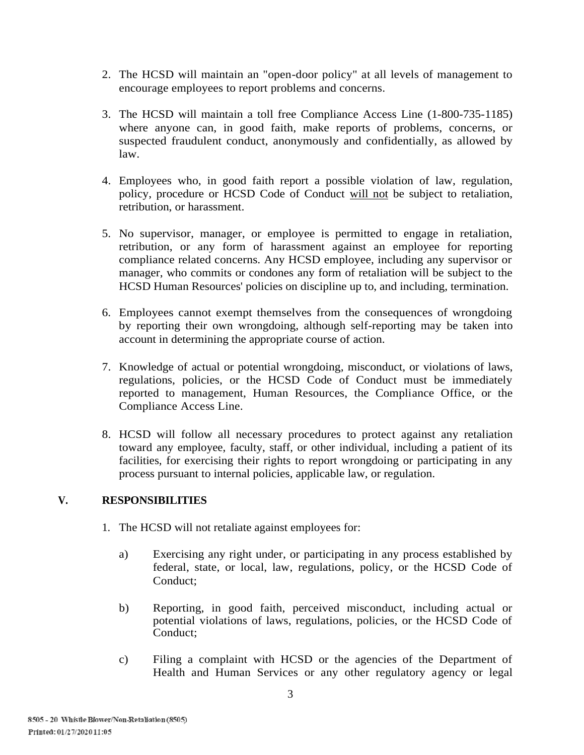- 2. The HCSD will maintain an "open-door policy" at all levels of management to encourage employees to report problems and concerns.
- 3. The HCSD will maintain a toll free Compliance Access Line (1-800-735-1185) where anyone can, in good faith, make reports of problems, concerns, or suspected fraudulent conduct, anonymously and confidentially, as allowed by law.
- 4. Employees who, in good faith report a possible violation of law, regulation, policy, procedure or HCSD Code of Conduct will not be subject to retaliation, retribution, or harassment.
- 5. No supervisor, manager, or employee is permitted to engage in retaliation, retribution, or any form of harassment against an employee for reporting compliance related concerns. Any HCSD employee, including any supervisor or manager, who commits or condones any form of retaliation will be subject to the HCSD Human Resources' policies on discipline up to, and including, termination.
- 6. Employees cannot exempt themselves from the consequences of wrongdoing by reporting their own wrongdoing, although self-reporting may be taken into account in determining the appropriate course of action.
- 7. Knowledge of actual or potential wrongdoing, misconduct, or violations of laws, regulations, policies, or the HCSD Code of Conduct must be immediately reported to management, Human Resources, the Compliance Office, or the Compliance Access Line.
- 8. HCSD will follow all necessary procedures to protect against any retaliation toward any employee, faculty, staff, or other individual, including a patient of its facilities, for exercising their rights to report wrongdoing or participating in any process pursuant to internal policies, applicable law, or regulation.

# **V. RESPONSIBILITIES**

- 1. The HCSD will not retaliate against employees for:
	- a) Exercising any right under, or participating in any process established by federal, state, or local, law, regulations, policy, or the HCSD Code of Conduct;
	- b) Reporting, in good faith, perceived misconduct, including actual or potential violations of laws, regulations, policies, or the HCSD Code of Conduct;
	- c) Filing a complaint with HCSD or the agencies of the Department of Health and Human Services or any other regulatory agency or legal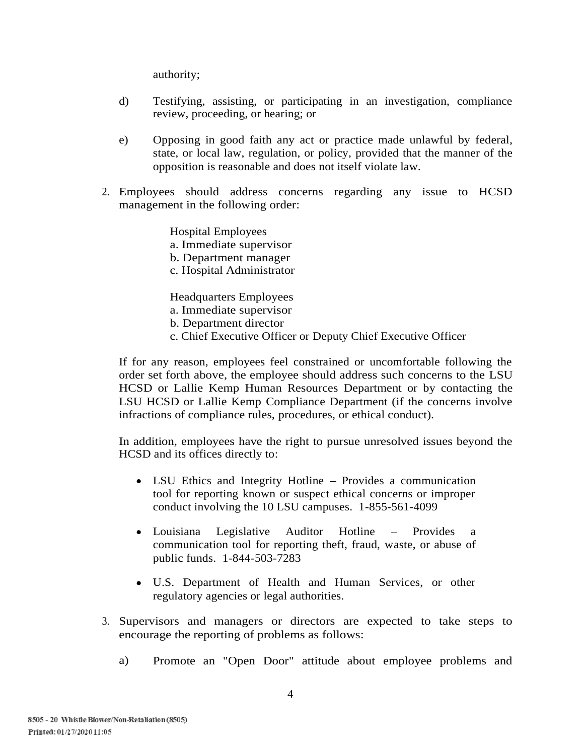authority;

- d) Testifying, assisting, or participating in an investigation, compliance review, proceeding, or hearing; or
- e) Opposing in good faith any act or practice made unlawful by federal, state, or local law, regulation, or policy, provided that the manner of the opposition is reasonable and does not itself violate law.
- 2. Employees should address concerns regarding any issue to HCSD management in the following order:

Hospital Employees a. Immediate supervisor

- b. Department manager
- c. Hospital Administrator

Headquarters Employees

a. Immediate supervisor

- b. Department director
- c. Chief Executive Officer or Deputy Chief Executive Officer

If for any reason, employees feel constrained or uncomfortable following the order set forth above, the employee should address such concerns to the LSU HCSD or Lallie Kemp Human Resources Department or by contacting the LSU HCSD or Lallie Kemp Compliance Department (if the concerns involve infractions of compliance rules, procedures, or ethical conduct).

In addition, employees have the right to pursue unresolved issues beyond the HCSD and its offices directly to:

- LSU Ethics and Integrity Hotline Provides a communication tool for reporting known or suspect ethical concerns or improper conduct involving the 10 LSU campuses. 1-855-561-4099
- Louisiana Legislative Auditor Hotline Provides a communication tool for reporting theft, fraud, waste, or abuse of public funds. 1-844-503-7283
- U.S. Department of Health and Human Services, or other regulatory agencies or legal authorities.
- 3. Supervisors and managers or directors are expected to take steps to encourage the reporting of problems as follows:
	- a) Promote an "Open Door" attitude about employee problems and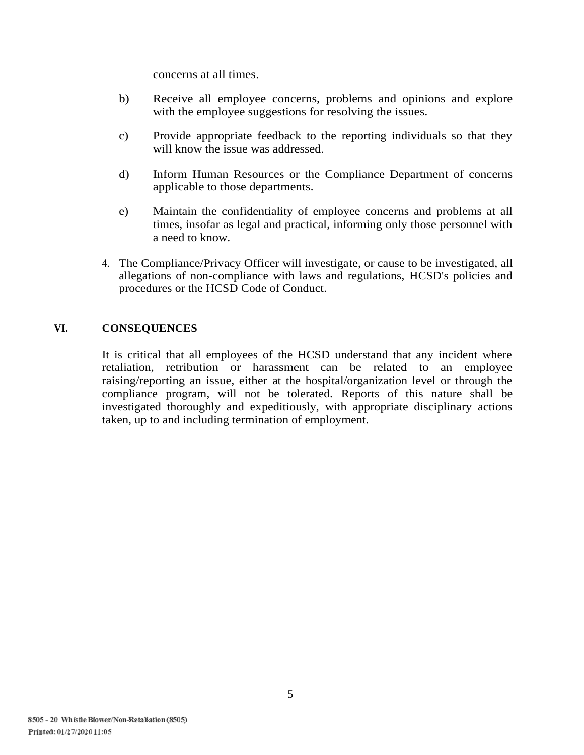concerns at all times.

- b) Receive all employee concerns, problems and opinions and explore with the employee suggestions for resolving the issues.
- c) Provide appropriate feedback to the reporting individuals so that they will know the issue was addressed.
- d) Inform Human Resources or the Compliance Department of concerns applicable to those departments.
- e) Maintain the confidentiality of employee concerns and problems at all times, insofar as legal and practical, informing only those personnel with a need to know.
- 4. The Compliance/Privacy Officer will investigate, or cause to be investigated, all allegations of non-compliance with laws and regulations, HCSD's policies and procedures or the HCSD Code of Conduct.

#### **VI. CONSEQUENCES**

It is critical that all employees of the HCSD understand that any incident where retaliation, retribution or harassment can be related to an employee raising/reporting an issue, either at the hospital/organization level or through the compliance program, will not be tolerated. Reports of this nature shall be investigated thoroughly and expeditiously, with appropriate disciplinary actions taken, up to and including termination of employment.